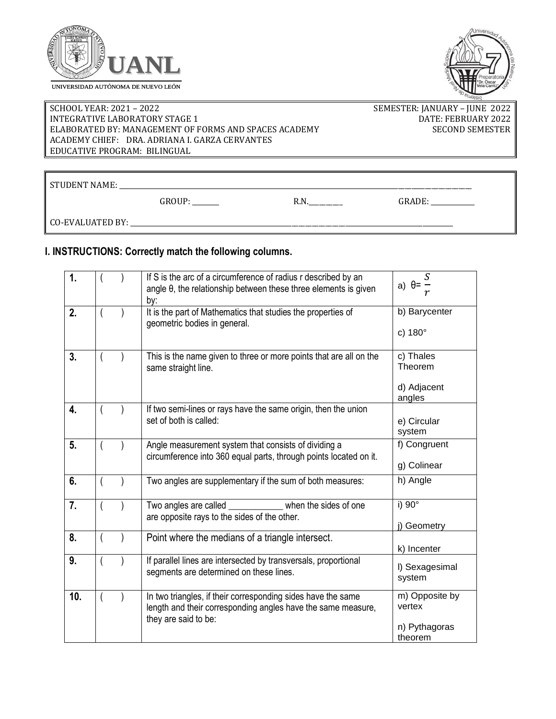



## SCHOOL YEAR: 2021 - 2022 2003 - SEMESTER: JANUARY - JUNE 2022 INTEGRATIVE LABORATORY STAGE 1 DATE: FEBRUARY 2022 ELABORATED BY: MANAGEMENT OF FORMS AND SPACES ACADEMY SECOND SEMESTER ACADEMY CHIEF: DRA. ADRIANA I. GARZA CERVANTES EDUCATIVE PROGRAM: BILINGUAL

STUDENT NAME: \_\_\_\_\_\_\_\_\_\_\_\_\_\_\_\_\_\_\_\_\_\_\_\_\_\_\_\_\_\_\_\_\_\_\_\_\_\_\_\_\_\_\_\_\_\_\_\_\_\_\_\_\_\_\_\_\_\_\_\_\_\_\_\_\_\_\_\_\_\_\_\_\_\_\_\_\_\_\_\_\_\_\_\_\_\_\_\_\_\_\_\_\_\_\_\_\_\_\_\_\_\_\_\_\_

GROUP: \_\_\_\_\_\_\_\_ R.N.\_\_\_\_\_\_\_\_\_\_ GRADE: \_\_\_\_\_\_\_\_\_\_\_\_\_

CO-EVALUATED BY: \_\_\_\_\_\_\_\_\_\_\_\_\_\_\_\_\_\_\_\_\_\_\_\_\_\_\_\_\_\_\_\_\_\_\_\_\_\_\_\_\_\_\_\_\_\_\_\_\_\_\_\_\_\_\_\_\_\_\_\_\_\_\_\_\_\_\_\_\_\_\_\_\_\_\_\_\_\_\_\_\_\_\_\_\_\_\_\_\_\_\_\_\_\_\_\_

## **I. INSTRUCTIONS: Correctly match the following columns.**

| 1.  |  | If S is the arc of a circumference of radius r described by an<br>angle $\theta$ , the relationship between these three elements is given<br>by:     | S<br>a) $\theta$ =<br>r                              |
|-----|--|------------------------------------------------------------------------------------------------------------------------------------------------------|------------------------------------------------------|
| 2.  |  | It is the part of Mathematics that studies the properties of<br>geometric bodies in general.                                                         | b) Barycenter<br>c) 180°                             |
| 3.  |  | This is the name given to three or more points that are all on the<br>same straight line.                                                            | c) Thales<br>Theorem<br>d) Adjacent<br>angles        |
| 4.  |  | If two semi-lines or rays have the same origin, then the union<br>set of both is called:                                                             | e) Circular<br>system                                |
| 5.  |  | Angle measurement system that consists of dividing a<br>circumference into 360 equal parts, through points located on it.                            | f) Congruent<br>g) Colinear                          |
| 6.  |  | Two angles are supplementary if the sum of both measures:                                                                                            | h) Angle                                             |
| 7.  |  | Two angles are called _<br>when the sides of one<br>are opposite rays to the sides of the other.                                                     | i) 90°<br>j) Geometry                                |
| 8.  |  | Point where the medians of a triangle intersect.                                                                                                     | k) Incenter                                          |
| 9.  |  | If parallel lines are intersected by transversals, proportional<br>segments are determined on these lines.                                           | I) Sexagesimal<br>system                             |
| 10. |  | In two triangles, if their corresponding sides have the same<br>length and their corresponding angles have the same measure,<br>they are said to be: | m) Opposite by<br>vertex<br>n) Pythagoras<br>theorem |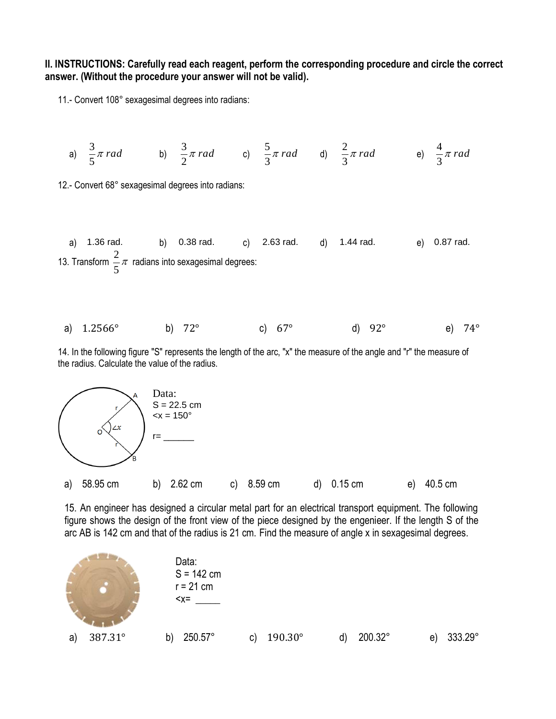**II. INSTRUCTIONS: Carefully read each reagent, perform the corresponding procedure and circle the correct answer. (Without the procedure your answer will not be valid).** 

11.- Convert 108° sexagesimal degrees into radians:

a) 
$$
\frac{3}{5}\pi
$$
 rad b)  $\frac{3}{2}\pi$  rad c)  $\frac{5}{3}\pi$  rad d)  $\frac{2}{3}\pi$  rad e)  $\frac{4}{3}\pi$  rad

12.- Convert 68° sexagesimal degrees into radians:

a) 1.36 rad. b) 0.38 rad. c) 2.63 rad. d) 1.44 rad. e) 0.87 rad.  
13. Transform 
$$
\frac{2}{5}\pi
$$
 radians into sexagesimal degrees:

a) 
$$
1.2566^{\circ}
$$
 b)  $72^{\circ}$  c)  $67^{\circ}$  d)  $92^{\circ}$  e)  $74^{\circ}$ 

14. In the following figure "S" represents the length of the arc, "x" the measure of the angle and "r" the measure of the radius. Calculate the value of the radius.



15. An engineer has designed a circular metal part for an electrical transport equipment. The following figure shows the design of the front view of the piece designed by the engenieer. If the length S of the arc AB is 142 cm and that of the radius is 21 cm. Find the measure of angle x in sexagesimal degrees.

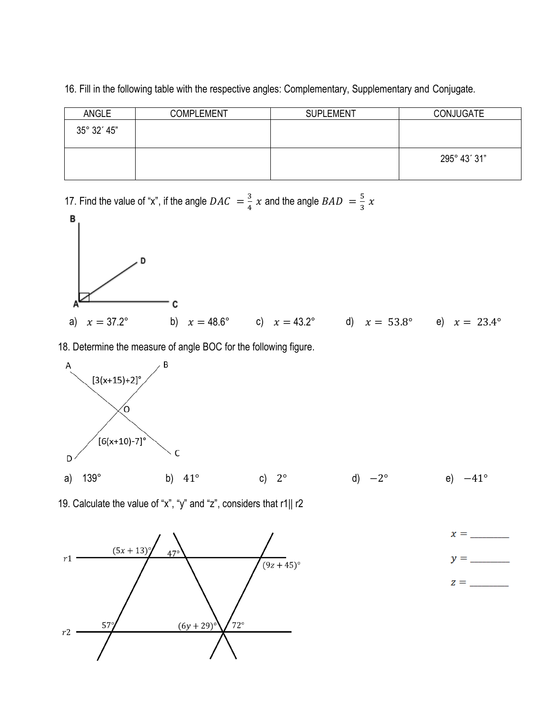| 16. Fill in the following table with the respective angles: Complementary, Supplementary and Conjugate. |  |
|---------------------------------------------------------------------------------------------------------|--|
|---------------------------------------------------------------------------------------------------------|--|

| <b>ANGLE</b> | <b>COMPLEMENT</b> | <b>SUPLEMENT</b> | <b>CONJUGATE</b> |
|--------------|-------------------|------------------|------------------|
| 35° 32′ 45"  |                   |                  |                  |
|              |                   |                  | 295° 43' 31"     |

17. Find the value of "x", if the angle  $DAC = \frac{3}{4}$  $\frac{3}{4}$  x and the angle  $BAD = \frac{5}{3}$  $rac{3}{3}$  x



18. Determine the measure of angle BOC for the following figure.



19. Calculate the value of "x", "y" and "z", considers that r1|| r2



 $x =$  $y =$ 

 $z =$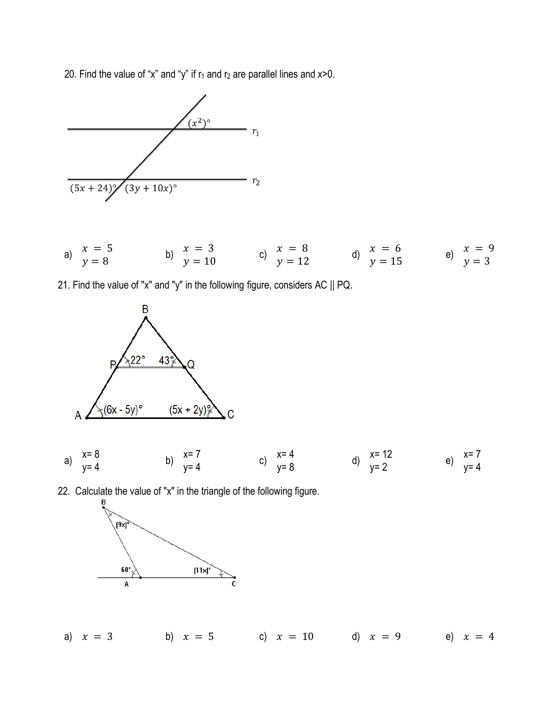20. Find the value of "x" and "y" if  $r_1$  and  $r_2$  are parallel lines and x>0.



|  | $x = 5$      | $x = 3$ | $x = 8$  | $x = 6$  | $x = 9$ |
|--|--------------|---------|----------|----------|---------|
|  | $\gamma = 8$ | $y=10$  | $y = 12$ | $y = 15$ | $v = 3$ |

21. Find the value of "x" and "y" in the following figure, considers AC || PQ.



22. Calculate the value of "x" in the triangle of the following figure.



a) 
$$
x = 3
$$
 b)  $x = 5$  c)  $x = 10$  d)  $x = 9$  e)  $x = 4$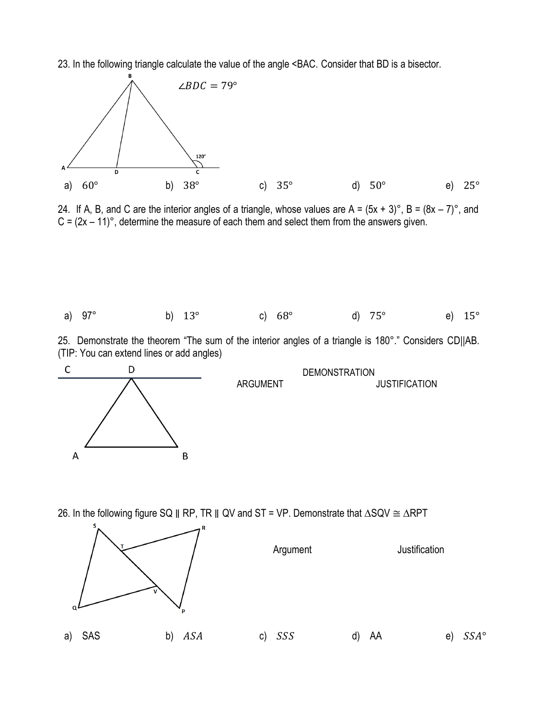23. In the following triangle calculate the value of the angle <BAC. Consider that BD is a bisector.



24. If A, B, and C are the interior angles of a triangle, whose values are A =  $(5x + 3)^\circ$ , B =  $(8x – 7)^\circ$ , and  $C = (2x - 11)^\circ$ , determine the measure of each them and select them from the answers given.



25. Demonstrate the theorem "The sum of the interior angles of a triangle is 180°." Considers CD||AB. (TIP: You can extend lines or add angles)



26. In the following figure SQ || RP, TR || QV and ST = VP. Demonstrate that ∆SQV ≅ ∆RPT